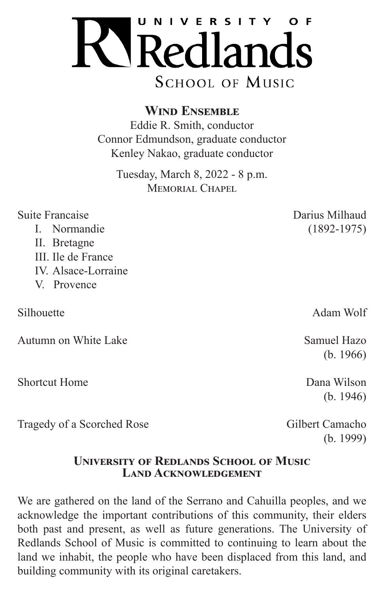

**Wind Ensemble**

Eddie R. Smith, conductor Connor Edmundson, graduate conductor Kenley Nakao, graduate conductor

Tuesday, March 8, 2022 - 8 p.m. MEMORIAL CHAPEL

| Suite Francaise                                      | Darius Milhaud                                                                                          |
|------------------------------------------------------|---------------------------------------------------------------------------------------------------------|
| I. Normandie                                         | $(1892 - 1975)$                                                                                         |
| II. Bretagne                                         |                                                                                                         |
| III. Ile de France                                   |                                                                                                         |
| IV. Alsace-Lorraine                                  |                                                                                                         |
| V. Provence                                          |                                                                                                         |
|                                                      |                                                                                                         |
| Silhouette                                           | Adam Wolf                                                                                               |
|                                                      |                                                                                                         |
| Autumn on White Lake                                 | Samuel Hazo                                                                                             |
|                                                      | (b. 1966)                                                                                               |
|                                                      |                                                                                                         |
| <b>Shortcut Home</b>                                 | Dana Wilson                                                                                             |
|                                                      | (b. 1946)                                                                                               |
| $T_{\text{max}} = 1.4 \pm 0.00$ and $T_{\text{max}}$ | $\bigcap_{i=1}^{n}$ 11. $\bigcap_{i=1}^{n}$ $\bigcap_{i=1}^{n}$ $\bigcap_{i=1}^{n}$ $\bigcap_{i=1}^{n}$ |

Tragedy of a Scorched Rose Gilbert Camacho

(b. 1999)

## **University of Redlands School of Music Land Acknowledgement**

We are gathered on the land of the Serrano and Cahuilla peoples, and we acknowledge the important contributions of this community, their elders both past and present, as well as future generations. The University of Redlands School of Music is committed to continuing to learn about the land we inhabit, the people who have been displaced from this land, and building community with its original caretakers.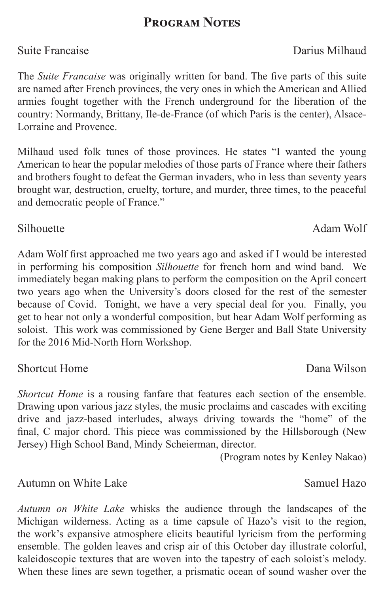# **Program Notes**

The *Suite Francaise* was originally written for band. The five parts of this suite are named after French provinces, the very ones in which the American and Allied armies fought together with the French underground for the liberation of the country: Normandy, Brittany, Ile-de-France (of which Paris is the center), Alsace-Lorraine and Provence.

Milhaud used folk tunes of those provinces. He states "I wanted the young American to hear the popular melodies of those parts of France where their fathers and brothers fought to defeat the German invaders, who in less than seventy years brought war, destruction, cruelty, torture, and murder, three times, to the peaceful and democratic people of France."

Adam Wolf first approached me two years ago and asked if I would be interested in performing his composition *Silhouette* for french horn and wind band. We immediately began making plans to perform the composition on the April concert two years ago when the University's doors closed for the rest of the semester because of Covid. Tonight, we have a very special deal for you. Finally, you get to hear not only a wonderful composition, but hear Adam Wolf performing as soloist. This work was commissioned by Gene Berger and Ball State University for the 2016 Mid-North Horn Workshop.

# Shortcut Home **Dana Wilson**

*Shortcut Home* is a rousing fanfare that features each section of the ensemble. Drawing upon various jazz styles, the music proclaims and cascades with exciting drive and jazz-based interludes, always driving towards the "home" of the final, C major chord. This piece was commissioned by the Hillsborough (New Jersey) High School Band, Mindy Scheierman, director.

(Program notes by Kenley Nakao)

# Autumn on White Lake Samuel Hazo

*Autumn on White Lake* whisks the audience through the landscapes of the Michigan wilderness. Acting as a time capsule of Hazo's visit to the region, the work's expansive atmosphere elicits beautiful lyricism from the performing ensemble. The golden leaves and crisp air of this October day illustrate colorful, kaleidoscopic textures that are woven into the tapestry of each soloist's melody. When these lines are sewn together, a prismatic ocean of sound washer over the

## Suite Francaise **Darius Milhaud**

Silhouette Adam Wolf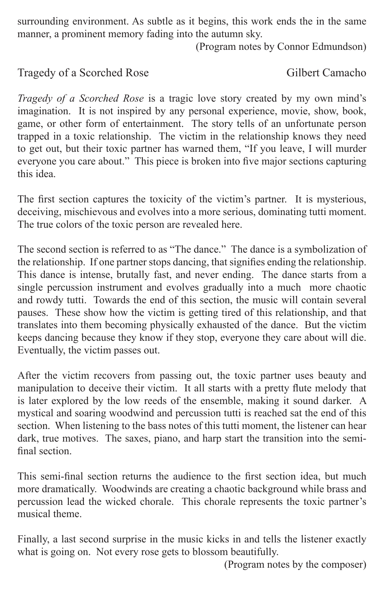surrounding environment. As subtle as it begins, this work ends the in the same manner, a prominent memory fading into the autumn sky.

(Program notes by Connor Edmundson)

### Tragedy of a Scorched Rose Gilbert Camacho

*Tragedy of a Scorched Rose* is a tragic love story created by my own mind's imagination. It is not inspired by any personal experience, movie, show, book, game, or other form of entertainment. The story tells of an unfortunate person trapped in a toxic relationship. The victim in the relationship knows they need to get out, but their toxic partner has warned them, "If you leave, I will murder everyone you care about." This piece is broken into five major sections capturing this idea.

The first section captures the toxicity of the victim's partner. It is mysterious, deceiving, mischievous and evolves into a more serious, dominating tutti moment. The true colors of the toxic person are revealed here.

The second section is referred to as "The dance." The dance is a symbolization of the relationship. If one partner stops dancing, that signifies ending the relationship. This dance is intense, brutally fast, and never ending. The dance starts from a single percussion instrument and evolves gradually into a much more chaotic and rowdy tutti. Towards the end of this section, the music will contain several pauses. These show how the victim is getting tired of this relationship, and that translates into them becoming physically exhausted of the dance. But the victim keeps dancing because they know if they stop, everyone they care about will die. Eventually, the victim passes out.

After the victim recovers from passing out, the toxic partner uses beauty and manipulation to deceive their victim. It all starts with a pretty flute melody that is later explored by the low reeds of the ensemble, making it sound darker. A mystical and soaring woodwind and percussion tutti is reached sat the end of this section. When listening to the bass notes of this tutti moment, the listener can hear dark, true motives. The saxes, piano, and harp start the transition into the semifinal section.

This semi-final section returns the audience to the first section idea, but much more dramatically. Woodwinds are creating a chaotic background while brass and percussion lead the wicked chorale. This chorale represents the toxic partner's musical theme.

Finally, a last second surprise in the music kicks in and tells the listener exactly what is going on. Not every rose gets to blossom beautifully.

(Program notes by the composer)